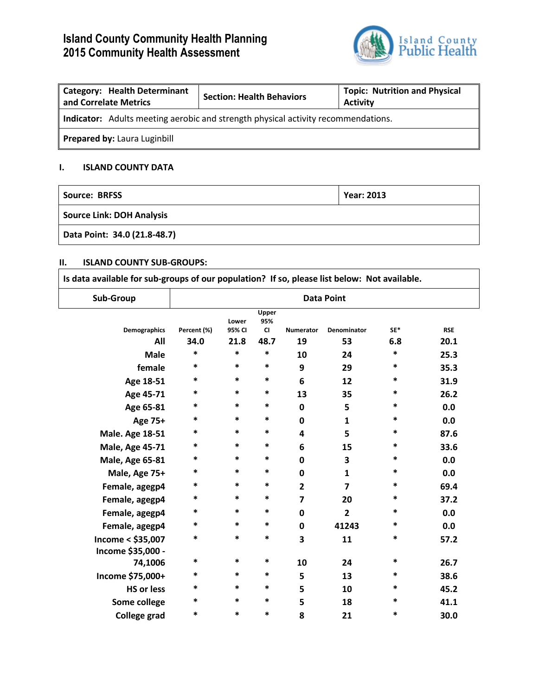# **Island County Community Health Planning 2015 Community Health Assessment**



| <b>Category: Health Determinant</b><br>and Correlate Metrics                             | <b>Section: Health Behaviors</b> | <b>Topic: Nutrition and Physical</b><br><b>Activity</b> |  |  |  |  |
|------------------------------------------------------------------------------------------|----------------------------------|---------------------------------------------------------|--|--|--|--|
| <b>Indicator:</b> Adults meeting aerobic and strength physical activity recommendations. |                                  |                                                         |  |  |  |  |
| Prepared by: Laura Luginbill                                                             |                                  |                                                         |  |  |  |  |

## **I. ISLAND COUNTY DATA**

| Source: BRFSS                    | <b>Year: 2013</b> |
|----------------------------------|-------------------|
| <b>Source Link: DOH Analysis</b> |                   |
| Data Point: 34.0 (21.8-48.7)     |                   |

### **II. ISLAND COUNTY SUB-GROUPS:**

**Is data available for sub-groups of our population? If so, please list below: Not available.**  $\top$ 

| Sub-Group              |             |                 |                           |                  | <b>Data Point</b>  |        |            |
|------------------------|-------------|-----------------|---------------------------|------------------|--------------------|--------|------------|
| <b>Demographics</b>    | Percent (%) | Lower<br>95% CI | Upper<br>95%<br><b>CI</b> | <b>Numerator</b> | <b>Denominator</b> | SE*    | <b>RSE</b> |
| All                    | 34.0        | 21.8            | 48.7                      | 19               | 53                 | 6.8    | 20.1       |
| <b>Male</b>            | $\ast$      | $\ast$          | $\ast$                    | 10               | 24                 | $\ast$ | 25.3       |
| female                 | *           | *               | *                         | 9                | 29                 | *      | 35.3       |
| Age 18-51              | *           | *               | *                         | 6                | 12                 | *      | 31.9       |
| Age 45-71              | *           | *               | *                         | 13               | 35                 | *      | 26.2       |
| Age 65-81              | *           | $\ast$          | $\ast$                    | 0                | 5                  | $\ast$ | 0.0        |
| Age 75+                | *           | *               | *                         | $\mathbf 0$      | $\mathbf{1}$       | *      | 0.0        |
| <b>Male. Age 18-51</b> | *           | *               | *                         | 4                | 5                  | *      | 87.6       |
| <b>Male, Age 45-71</b> | *           | *               | $\ast$                    | 6                | 15                 | *      | 33.6       |
| <b>Male, Age 65-81</b> | *           | *               | $\ast$                    | 0                | 3                  | *      | 0.0        |
| Male, Age 75+          | *           | *               | *                         | $\mathbf 0$      | $\mathbf{1}$       | *      | 0.0        |
| Female, agegp4         | *           | $\ast$          | *                         | $\overline{2}$   | $\overline{7}$     | *      | 69.4       |
| Female, agegp4         | $\ast$      | $\ast$          | $\ast$                    | $\overline{7}$   | 20                 | $\ast$ | 37.2       |
| Female, agegp4         | *           | $\ast$          | $\ast$                    | 0                | $\overline{2}$     | $\ast$ | 0.0        |
| Female, agegp4         | $\ast$      | *               | *                         | $\mathbf 0$      | 41243              | *      | 0.0        |
| Income < \$35,007      | *           | *               | $\ast$                    | 3                | 11                 | $\ast$ | 57.2       |
| Income \$35,000 -      |             |                 |                           |                  |                    |        |            |
| 74,1006                | $\ast$      | *               | *                         | 10               | 24                 | *      | 26.7       |
| Income \$75,000+       | *           | *               | *                         | 5                | 13                 | ∗      | 38.6       |
| <b>HS or less</b>      | *           | *               | *                         | 5                | 10                 | *      | 45.2       |
| Some college           | *           | *               | $\ast$                    | 5                | 18                 | *      | 41.1       |
| <b>College grad</b>    | *           | *               | $\ast$                    | 8                | 21                 | *      | 30.0       |